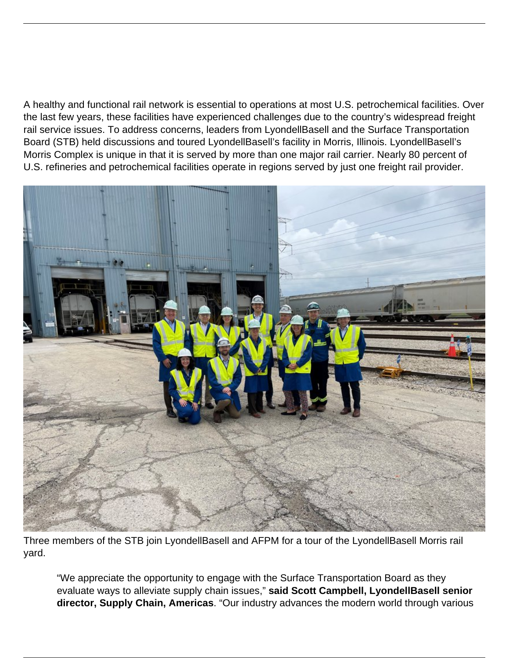A healthy and functional rail network is essential to operations at most U.S. petrochemical facilities. Over the last few years, these facilities have experienced challenges due to the country's widespread freight rail service issues. To address concerns, leaders from LyondellBasell and the Surface Transportation Board (STB) held discussions and toured LyondellBasell's facility in Morris, Illinois. LyondellBasell's Morris Complex is unique in that it is served by more than one major rail carrier. Nearly 80 percent of U.S. refineries and petrochemical facilities operate in regions served by just one freight rail provider.



Three members of the STB join LyondellBasell and AFPM for a tour of the LyondellBasell Morris rail yard.

"We appreciate the opportunity to engage with the Surface Transportation Board as they evaluate ways to alleviate supply chain issues," **said Scott Campbell, LyondellBasell senior director, Supply Chain, Americas**. "Our industry advances the modern world through various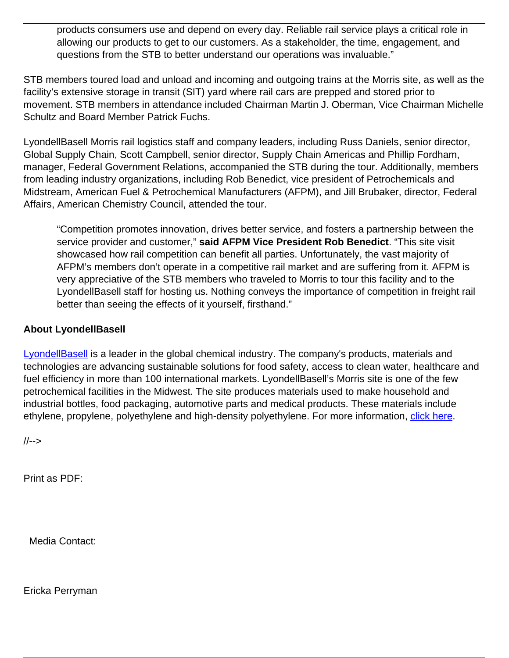products consumers use and depend on every day. Reliable rail service plays a critical role in allowing our products to get to our customers. As a stakeholder, the time, engagement, and questions from the STB to better understand our operations was invaluable."

STB members toured load and unload and incoming and outgoing trains at the Morris site, as well as the facility's extensive storage in transit (SIT) yard where rail cars are prepped and stored prior to movement. STB members in attendance included Chairman Martin J. Oberman, Vice Chairman Michelle Schultz and Board Member Patrick Fuchs.

LyondellBasell Morris rail logistics staff and company leaders, including Russ Daniels, senior director, Global Supply Chain, Scott Campbell, senior director, Supply Chain Americas and Phillip Fordham, manager, Federal Government Relations, accompanied the STB during the tour. Additionally, members from leading industry organizations, including Rob Benedict, vice president of Petrochemicals and Midstream, American Fuel & Petrochemical Manufacturers (AFPM), and Jill Brubaker, director, Federal Affairs, American Chemistry Council, attended the tour.

"Competition promotes innovation, drives better service, and fosters a partnership between the service provider and customer," **said AFPM Vice President Rob Benedict**. "This site visit showcased how rail competition can benefit all parties. Unfortunately, the vast majority of AFPM's members don't operate in a competitive rail market and are suffering from it. AFPM is very appreciative of the STB members who traveled to Morris to tour this facility and to the LyondellBasell staff for hosting us. Nothing conveys the importance of competition in freight rail better than seeing the effects of it yourself, firsthand."

## **About LyondellBasell**

[LyondellBasell](https://www.lyondellbasell.com/globalassets/sustainability/2021-lyb-sustainability-report.pdf) is a leader in the global chemical industry. The company's products, materials and technologies are advancing sustainable solutions for food safety, access to clean water, healthcare and fuel efficiency in more than 100 international markets. LyondellBasell's Morris site is one of the few petrochemical facilities in the Midwest. The site produces materials used to make household and industrial bottles, food packaging, automotive parts and medical products. These materials include ethylene, propylene, polyethylene and high-density polyethylene. For more information, [click here.](https://www.lyondellbasell.com/en/morris-complex/)

//-->

Print as PDF:

Media Contact:

Ericka Perryman